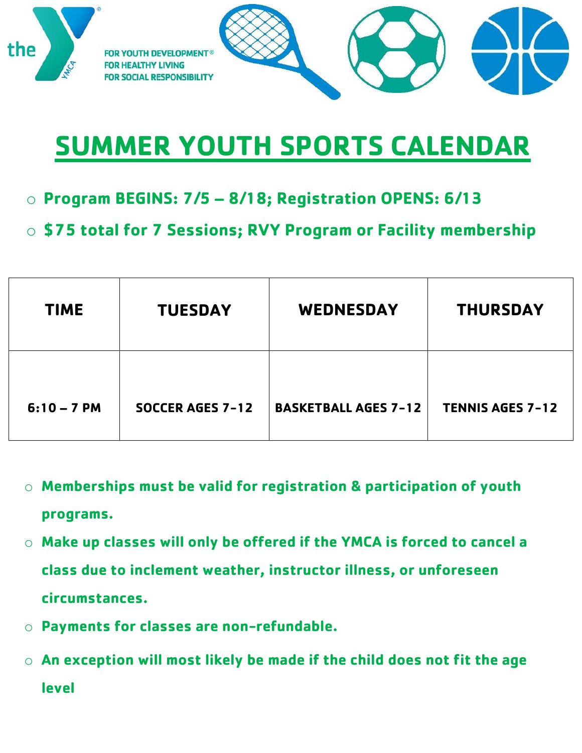

## **SUMMER YOUTH SPORTS CALENDAR**

- o **Program BEGINS: 7/5 – 8/18; Registration OPENS: 6/13**
- o **\$75 total for 7 Sessions; RVY Program or Facility membership**

| <b>TIME</b>   | <b>TUESDAY</b>          | <b>WEDNESDAY</b>            | <b>THURSDAY</b>         |
|---------------|-------------------------|-----------------------------|-------------------------|
| $6:10 - 7$ PM | <b>SOCCER AGES 7-12</b> | <b>BASKETBALL AGES 7-12</b> | <b>TENNIS AGES 7-12</b> |

- o **Memberships must be valid for registration & participation of youth programs.**
- o **Make up classes will only be offered if the YMCA is forced to cancel a class due to inclement weather, instructor illness, or unforeseen circumstances.**
- o **Payments for classes are non-refundable.**
- o **An exception will most likely be made if the child does not fit the age level**